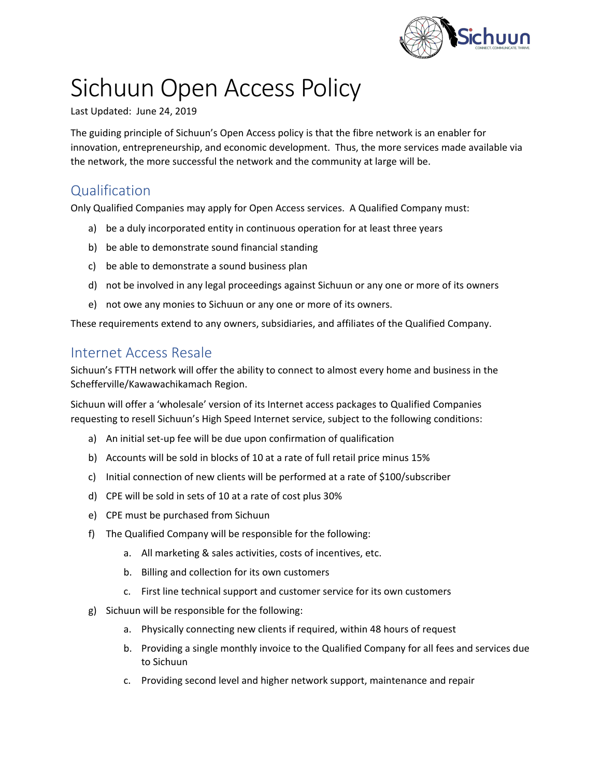

# Sichuun Open Access Policy

#### Last Updated: June 24, 2019

The guiding principle of Sichuun's Open Access policy is that the fibre network is an enabler for innovation, entrepreneurship, and economic development. Thus, the more services made available via the network, the more successful the network and the community at large will be.

### Qualification

Only Qualified Companies may apply for Open Access services. A Qualified Company must:

- a) be a duly incorporated entity in continuous operation for at least three years
- b) be able to demonstrate sound financial standing
- c) be able to demonstrate a sound business plan
- d) not be involved in any legal proceedings against Sichuun or any one or more of its owners
- e) not owe any monies to Sichuun or any one or more of its owners.

These requirements extend to any owners, subsidiaries, and affiliates of the Qualified Company.

#### Internet Access Resale

Sichuun's FTTH network will offer the ability to connect to almost every home and business in the Schefferville/Kawawachikamach Region.

Sichuun will offer a 'wholesale' version of its Internet access packages to Qualified Companies requesting to resell Sichuun's High Speed Internet service, subject to the following conditions:

- a) An initial set-up fee will be due upon confirmation of qualification
- b) Accounts will be sold in blocks of 10 at a rate of full retail price minus 15%
- c) Initial connection of new clients will be performed at a rate of \$100/subscriber
- d) CPE will be sold in sets of 10 at a rate of cost plus 30%
- e) CPE must be purchased from Sichuun
- f) The Qualified Company will be responsible for the following:
	- a. All marketing & sales activities, costs of incentives, etc.
	- b. Billing and collection for its own customers
	- c. First line technical support and customer service for its own customers
- g) Sichuun will be responsible for the following:
	- a. Physically connecting new clients if required, within 48 hours of request
	- b. Providing a single monthly invoice to the Qualified Company for all fees and services due to Sichuun
	- c. Providing second level and higher network support, maintenance and repair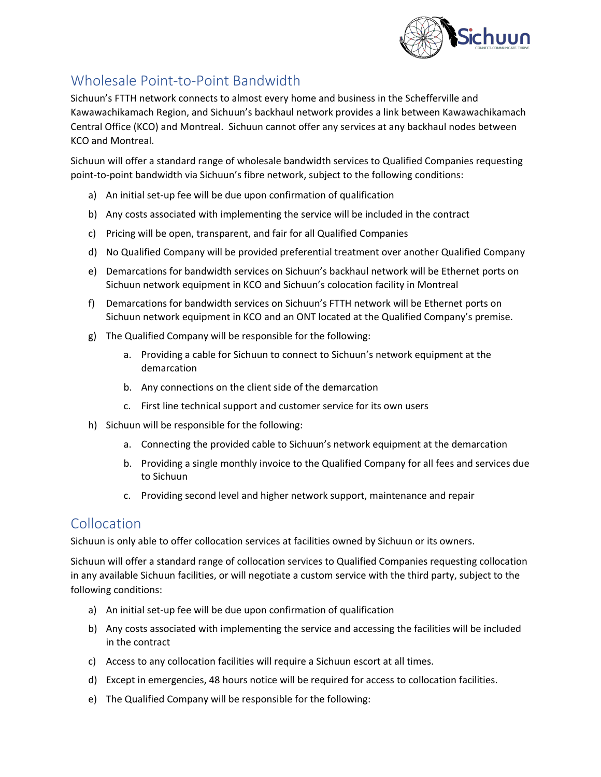

## Wholesale Point-to-Point Bandwidth

Sichuun's FTTH network connects to almost every home and business in the Schefferville and Kawawachikamach Region, and Sichuun's backhaul network provides a link between Kawawachikamach Central Office (KCO) and Montreal. Sichuun cannot offer any services at any backhaul nodes between KCO and Montreal.

Sichuun will offer a standard range of wholesale bandwidth services to Qualified Companies requesting point-to-point bandwidth via Sichuun's fibre network, subject to the following conditions:

- a) An initial set-up fee will be due upon confirmation of qualification
- b) Any costs associated with implementing the service will be included in the contract
- c) Pricing will be open, transparent, and fair for all Qualified Companies
- d) No Qualified Company will be provided preferential treatment over another Qualified Company
- e) Demarcations for bandwidth services on Sichuun's backhaul network will be Ethernet ports on Sichuun network equipment in KCO and Sichuun's colocation facility in Montreal
- f) Demarcations for bandwidth services on Sichuun's FTTH network will be Ethernet ports on Sichuun network equipment in KCO and an ONT located at the Qualified Company's premise.
- g) The Qualified Company will be responsible for the following:
	- a. Providing a cable for Sichuun to connect to Sichuun's network equipment at the demarcation
	- b. Any connections on the client side of the demarcation
	- c. First line technical support and customer service for its own users
- h) Sichuun will be responsible for the following:
	- a. Connecting the provided cable to Sichuun's network equipment at the demarcation
	- b. Providing a single monthly invoice to the Qualified Company for all fees and services due to Sichuun
	- c. Providing second level and higher network support, maintenance and repair

#### **Collocation**

Sichuun is only able to offer collocation services at facilities owned by Sichuun or its owners.

Sichuun will offer a standard range of collocation services to Qualified Companies requesting collocation in any available Sichuun facilities, or will negotiate a custom service with the third party, subject to the following conditions:

- a) An initial set-up fee will be due upon confirmation of qualification
- b) Any costs associated with implementing the service and accessing the facilities will be included in the contract
- c) Access to any collocation facilities will require a Sichuun escort at all times.
- d) Except in emergencies, 48 hours notice will be required for access to collocation facilities.
- e) The Qualified Company will be responsible for the following: